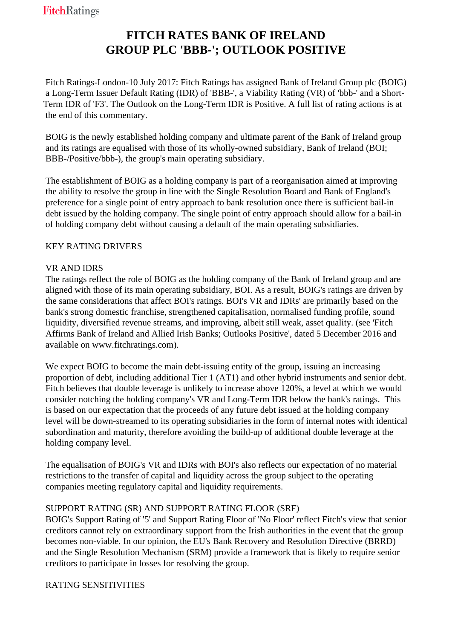# **FITCH RATES BANK OF IRELAND GROUP PLC 'BBB-'; OUTLOOK POSITIVE**

 Fitch Ratings-London-10 July 2017: Fitch Ratings has assigned Bank of Ireland Group plc (BOIG) a Long-Term Issuer Default Rating (IDR) of 'BBB-', a Viability Rating (VR) of 'bbb-' and a Short-Term IDR of 'F3'. The Outlook on the Long-Term IDR is Positive. A full list of rating actions is at the end of this commentary.

 BOIG is the newly established holding company and ultimate parent of the Bank of Ireland group and its ratings are equalised with those of its wholly-owned subsidiary, Bank of Ireland (BOI; BBB-/Positive/bbb-), the group's main operating subsidiary.

 The establishment of BOIG as a holding company is part of a reorganisation aimed at improving the ability to resolve the group in line with the Single Resolution Board and Bank of England's preference for a single point of entry approach to bank resolution once there is sufficient bail-in debt issued by the holding company. The single point of entry approach should allow for a bail-in of holding company debt without causing a default of the main operating subsidiaries.

## KEY RATING DRIVERS

### VR AND IDRS

 The ratings reflect the role of BOIG as the holding company of the Bank of Ireland group and are aligned with those of its main operating subsidiary, BOI. As a result, BOIG's ratings are driven by the same considerations that affect BOI's ratings. BOI's VR and IDRs' are primarily based on the bank's strong domestic franchise, strengthened capitalisation, normalised funding profile, sound liquidity, diversified revenue streams, and improving, albeit still weak, asset quality. (see 'Fitch Affirms Bank of Ireland and Allied Irish Banks; Outlooks Positive', dated 5 December 2016 and available on www.fitchratings.com).

We expect BOIG to become the main debt-issuing entity of the group, issuing an increasing proportion of debt, including additional Tier 1 (AT1) and other hybrid instruments and senior debt. Fitch believes that double leverage is unlikely to increase above 120%, a level at which we would consider notching the holding company's VR and Long-Term IDR below the bank's ratings. This is based on our expectation that the proceeds of any future debt issued at the holding company level will be down-streamed to its operating subsidiaries in the form of internal notes with identical subordination and maturity, therefore avoiding the build-up of additional double leverage at the holding company level.

 The equalisation of BOIG's VR and IDRs with BOI's also reflects our expectation of no material restrictions to the transfer of capital and liquidity across the group subject to the operating companies meeting regulatory capital and liquidity requirements.

## SUPPORT RATING (SR) AND SUPPORT RATING FLOOR (SRF)

 BOIG's Support Rating of '5' and Support Rating Floor of 'No Floor' reflect Fitch's view that senior creditors cannot rely on extraordinary support from the Irish authorities in the event that the group becomes non-viable. In our opinion, the EU's Bank Recovery and Resolution Directive (BRRD) and the Single Resolution Mechanism (SRM) provide a framework that is likely to require senior creditors to participate in losses for resolving the group.

#### RATING SENSITIVITIES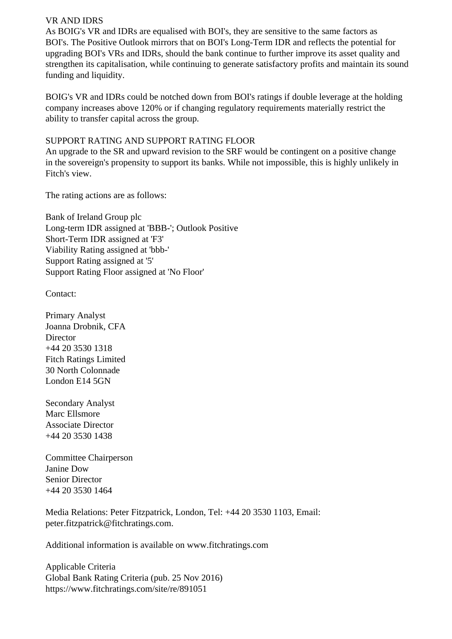#### VR AND IDRS

 As BOIG's VR and IDRs are equalised with BOI's, they are sensitive to the same factors as BOI's. The Positive Outlook mirrors that on BOI's Long-Term IDR and reflects the potential for upgrading BOI's VRs and IDRs, should the bank continue to further improve its asset quality and strengthen its capitalisation, while continuing to generate satisfactory profits and maintain its sound funding and liquidity.

 BOIG's VR and IDRs could be notched down from BOI's ratings if double leverage at the holding company increases above 120% or if changing regulatory requirements materially restrict the ability to transfer capital across the group.

#### SUPPORT RATING AND SUPPORT RATING FLOOR

 An upgrade to the SR and upward revision to the SRF would be contingent on a positive change in the sovereign's propensity to support its banks. While not impossible, this is highly unlikely in Fitch's view.

The rating actions are as follows:

 Bank of Ireland Group plc Long-term IDR assigned at 'BBB-'; Outlook Positive Short-Term IDR assigned at 'F3' Viability Rating assigned at 'bbb-' Support Rating assigned at '5' Support Rating Floor assigned at 'No Floor'

Contact:

 Primary Analyst Joanna Drobnik, CFA **Director**  +44 20 3530 1318 Fitch Ratings Limited 30 North Colonnade London E14 5GN

 Secondary Analyst Marc Ellsmore Associate Director +44 20 3530 1438

 Committee Chairperson Janine Dow Senior Director +44 20 3530 1464

 Media Relations: Peter Fitzpatrick, London, Tel: +44 20 3530 1103, Email: peter.fitzpatrick@fitchratings.com.

Additional information is available on www.fitchratings.com

 Applicable Criteria Global Bank Rating Criteria (pub. 25 Nov 2016) https://www.fitchratings.com/site/re/891051